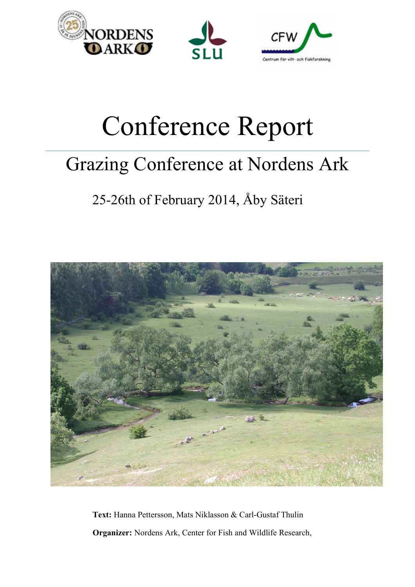





# Conference Report

# Grazing Conference at Nordens Ark

## 25-26th of February 2014, Åby Säteri



**Text:** Hanna Pettersson, Mats Niklasson & Carl-Gustaf Thulin **Organizer:** Nordens Ark, Center for Fish and Wildlife Research,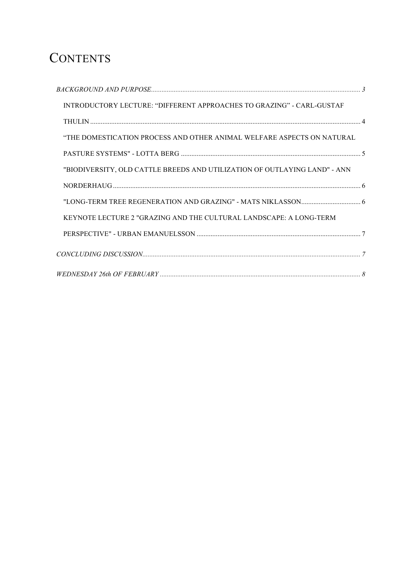### **CONTENTS**

| INTRODUCTORY LECTURE: "DIFFERENT APPROACHES TO GRAZING" - CARL-GUSTAF     |  |
|---------------------------------------------------------------------------|--|
|                                                                           |  |
| "THE DOMESTICATION PROCESS AND OTHER ANIMAL WELFARE ASPECTS ON NATURAL    |  |
|                                                                           |  |
| "BIODIVERSITY, OLD CATTLE BREEDS AND UTILIZATION OF OUTLAYING LAND" - ANN |  |
|                                                                           |  |
|                                                                           |  |
| KEYNOTE LECTURE 2 "GRAZING AND THE CULTURAL LANDSCAPE: A LONG-TERM        |  |
|                                                                           |  |
|                                                                           |  |
|                                                                           |  |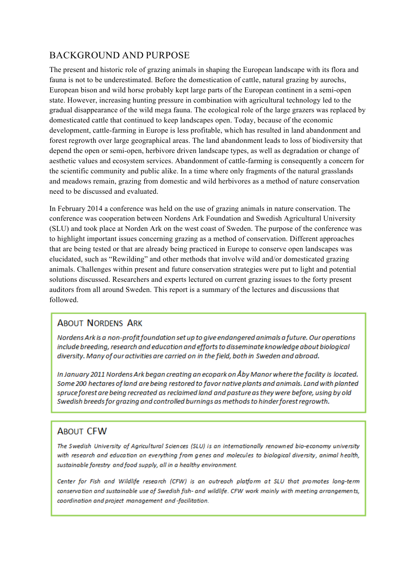#### BACKGROUND AND PURPOSE

The present and historic role of grazing animals in shaping the European landscape with its flora and fauna is not to be underestimated. Before the domestication of cattle, natural grazing by aurochs, European bison and wild horse probably kept large parts of the European continent in a semi-open state. However, increasing hunting pressure in combination with agricultural technology led to the gradual disappearance of the wild mega fauna. The ecological role of the large grazers was replaced by domesticated cattle that continued to keep landscapes open. Today, because of the economic development, cattle-farming in Europe is less profitable, which has resulted in land abandonment and forest regrowth over large geographical areas. The land abandonment leads to loss of biodiversity that depend the open or semi-open, herbivore driven landscape types, as well as degradation or change of aesthetic values and ecosystem services. Abandonment of cattle-farming is consequently a concern for the scientific community and public alike. In a time where only fragments of the natural grasslands and meadows remain, grazing from domestic and wild herbivores as a method of nature conservation need to be discussed and evaluated.

In February 2014 a conference was held on the use of grazing animals in nature conservation. The conference was cooperation between Nordens Ark Foundation and Swedish Agricultural University (SLU) and took place at Norden Ark on the west coast of Sweden. The purpose of the conference was to highlight important issues concerning grazing as a method of conservation. Different approaches that are being tested or that are already being practiced in Europe to conserve open landscapes was elucidated, such as "Rewilding" and other methods that involve wild and/or domesticated grazing animals. Challenges within present and future conservation strategies were put to light and potential solutions discussed. Researchers and experts lectured on current grazing issues to the forty present auditors from all around Sweden. This report is a summary of the lectures and discussions that followed.

#### **ABOUT NORDENS ARK**

Nordens Ark is a non-profit foundation set up to give endangered animals a future. Our operations include breeding, research and education and efforts to disseminate knowledge about biological diversity. Many of our activities are carried on in the field, both in Sweden and abroad.

In January 2011 Nordens Ark began creating an ecopark on Åby Manor where the facility is located. Some 200 hectares of land are being restored to favor native plants and animals. Land with planted spruce forest are being recreated as reclaimed land and pasture as they were before, using by old Swedish breeds for grazing and controlled burnings as methods to hinder forest regrowth.

#### **ABOUT CFW**

The Swedish University of Agricultural Sciences (SLU) is an internationally renowned bio-economy university with research and education on everything from genes and molecules to biological diversity, animal health, sustainable forestry and food supply, all in a healthy environment.

Center for Fish and Wildlife research (CFW) is an outreach platform at SLU that promotes long-term conservation and sustainable use of Swedish fish- and wildlife. CFW work mainly with meeting arrangements, coordination and project management and -facilitation.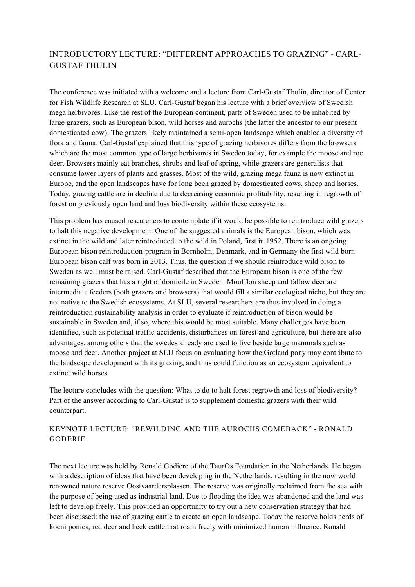#### INTRODUCTORY LECTURE: "DIFFERENT APPROACHES TO GRAZING" - CARL-GUSTAF THULIN

The conference was initiated with a welcome and a lecture from Carl-Gustaf Thulin, director of Center for Fish Wildlife Research at SLU. Carl-Gustaf began his lecture with a brief overview of Swedish mega herbivores. Like the rest of the European continent, parts of Sweden used to be inhabited by large grazers, such as European bison, wild horses and aurochs (the latter the ancestor to our present domesticated cow). The grazers likely maintained a semi-open landscape which enabled a diversity of flora and fauna. Carl-Gustaf explained that this type of grazing herbivores differs from the browsers which are the most common type of large herbivores in Sweden today, for example the moose and roe deer. Browsers mainly eat branches, shrubs and leaf of spring, while grazers are generalists that consume lower layers of plants and grasses. Most of the wild, grazing mega fauna is now extinct in Europe, and the open landscapes have for long been grazed by domesticated cows, sheep and horses. Today, grazing cattle are in decline due to decreasing economic profitability, resulting in regrowth of forest on previously open land and loss biodiversity within these ecosystems.

This problem has caused researchers to contemplate if it would be possible to reintroduce wild grazers to halt this negative development. One of the suggested animals is the European bison, which was extinct in the wild and later reintroduced to the wild in Poland, first in 1952. There is an ongoing European bison reintroduction-program in Bornholm, Denmark, and in Germany the first wild born European bison calf was born in 2013. Thus, the question if we should reintroduce wild bison to Sweden as well must be raised. Carl-Gustaf described that the European bison is one of the few remaining grazers that has a right of domicile in Sweden. Moufflon sheep and fallow deer are intermediate feeders (both grazers and browsers) that would fill a similar ecological niche, but they are not native to the Swedish ecosystems. At SLU, several researchers are thus involved in doing a reintroduction sustainability analysis in order to evaluate if reintroduction of bison would be sustainable in Sweden and, if so, where this would be most suitable. Many challenges have been identified, such as potential traffic-accidents, disturbances on forest and agriculture, but there are also advantages, among others that the swedes already are used to live beside large mammals such as moose and deer. Another project at SLU focus on evaluating how the Gotland pony may contribute to the landscape development with its grazing, and thus could function as an ecosystem equivalent to extinct wild horses.

The lecture concludes with the question: What to do to halt forest regrowth and loss of biodiversity? Part of the answer according to Carl-Gustaf is to supplement domestic grazers with their wild counterpart.

#### KEYNOTE LECTURE: "REWILDING AND THE AUROCHS COMEBACK" - RONALD GODERIE

The next lecture was held by Ronald Godiere of the TaurOs Foundation in the Netherlands. He began with a description of ideas that have been developing in the Netherlands; resulting in the now world renowned nature reserve Oostvaardersplassen. The reserve was originally reclaimed from the sea with the purpose of being used as industrial land. Due to flooding the idea was abandoned and the land was left to develop freely. This provided an opportunity to try out a new conservation strategy that had been discussed: the use of grazing cattle to create an open landscape. Today the reserve holds herds of koeni ponies, red deer and heck cattle that roam freely with minimized human influence. Ronald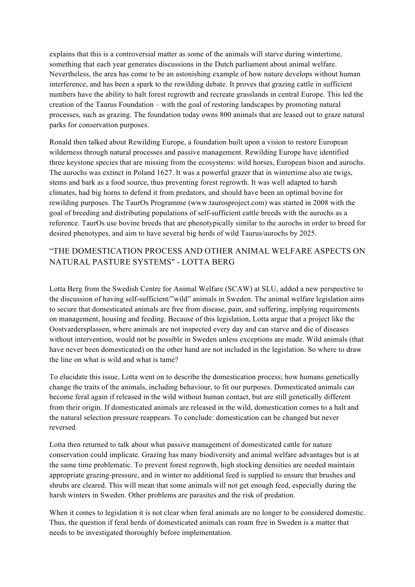explains that this is a controversial matter as some of the animals will starve during wintertime, something that each year generates discussions in the Dutch parliament about animal welfare. Nevertheless, the area has come to be an astonishing example of how nature develops without human interference, and has been a spark to the rewilding debate. It proves that grazing cattle in sufficient numbers have the ability to halt forest regrowth and recreate grasslands in central Europe. This led the creation of the Taurus Foundation – with the goal of restoring landscapes by promoting natural processes, such as grazing. The foundation today owns 800 animals that are leased out to graze natural parks for conservation purposes.

Ronald then talked about Rewilding Europe, a foundation built upon a vision to restore European wilderness through natural processes and passive management. Rewilding Europe have identified three keystone species that are missing from the ecosystems: wild horses, European bison and aurochs. The aurochs was extinct in Poland 1627. It was a powerful grazer that in wintertime also ate twigs, stems and bark as a food source, thus preventing forest regrowth. It was well adapted to harsh climates, had big horns to defend it from predators, and should have been an optimal bovine for rewilding purposes. The TaurOs Programme (www.taurosproject.com) was started in 2008 with the goal of breeding and distributing populations of self-sufficient cattle breeds with the aurochs as a reference. TaurOs use bovine breeds that are phenotypically similar to the aurochs in order to breed for desired phenotypes, and aim to have several big herds of wild Taurus/aurochs by 2025.

#### "THE DOMESTICATION PROCESS AND OTHER ANIMAL WELFARE ASPECTS ON NATURAL PASTURE SYSTEMS" - LOTTA BERG

Lotta Berg from the Swedish Centre for Animal Welfare (SCAW) at SLU, added a new perspective to the discussion of having self-sufficient/"wild" animals in Sweden. The animal welfare legislation aims to secure that domesticated animals are free from disease, pain, and suffering, implying requirements on management, housing and feeding. Because of this legislation, Lotta argue that a project like the Oostvardersplassen, where animals are not inspected every day and can starve and die of diseases without intervention, would not be possible in Sweden unless exceptions are made. Wild animals (that have never been domesticated) on the other hand are not included in the legislation. So where to draw the line on what is wild and what is tame?

To elucidate this issue, Lotta went on to describe the domestication process; how humans genetically change the traits of the animals, including behaviour, to fit our purposes. Domesticated animals can become feral again if released in the wild without human contact, but are still genetically different from their origin. If domesticated animals are released in the wild, domestication comes to a halt and the natural selection pressure reappears. To conclude: domestication can be changed but never reversed.

Lotta then returned to talk about what passive management of domesticated cattle for nature conservation could implicate. Grazing has many biodiversity and animal welfare advantages but is at the same time problematic. To prevent forest regrowth, high stocking densities are needed maintain appropriate grazing-pressure, and in winter no additional feed is supplied to ensure that brushes and shrubs are cleared. This will mean that some animals will not get enough feed, especially during the harsh winters in Sweden. Other problems are parasites and the risk of predation.

When it comes to legislation it is not clear when feral animals are no longer to be considered domestic. Thus, the question if feral herds of domesticated animals can roam free in Sweden is a matter that needs to be investigated thoroughly before implementation.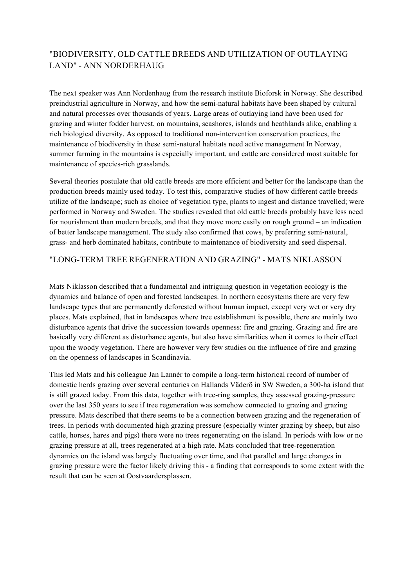#### "BIODIVERSITY, OLD CATTLE BREEDS AND UTILIZATION OF OUTLAYING LAND" - ANN NORDERHAUG

The next speaker was Ann Nordenhaug from the research institute Bioforsk in Norway. She described preindustrial agriculture in Norway, and how the semi-natural habitats have been shaped by cultural and natural processes over thousands of years. Large areas of outlaying land have been used for grazing and winter fodder harvest, on mountains, seashores, islands and heathlands alike, enabling a rich biological diversity. As opposed to traditional non-intervention conservation practices, the maintenance of biodiversity in these semi-natural habitats need active management In Norway, summer farming in the mountains is especially important, and cattle are considered most suitable for maintenance of species-rich grasslands.

Several theories postulate that old cattle breeds are more efficient and better for the landscape than the production breeds mainly used today. To test this, comparative studies of how different cattle breeds utilize of the landscape; such as choice of vegetation type, plants to ingest and distance travelled; were performed in Norway and Sweden. The studies revealed that old cattle breeds probably have less need for nourishment than modern breeds, and that they move more easily on rough ground – an indication of better landscape management. The study also confirmed that cows, by preferring semi-natural, grass- and herb dominated habitats, contribute to maintenance of biodiversity and seed dispersal.

#### "LONG-TERM TREE REGENERATION AND GRAZING" - MATS NIKLASSON

Mats Niklasson described that a fundamental and intriguing question in vegetation ecology is the dynamics and balance of open and forested landscapes. In northern ecosystems there are very few landscape types that are permanently deforested without human impact, except very wet or very dry places. Mats explained, that in landscapes where tree establishment is possible, there are mainly two disturbance agents that drive the succession towards openness: fire and grazing. Grazing and fire are basically very different as disturbance agents, but also have similarities when it comes to their effect upon the woody vegetation. There are however very few studies on the influence of fire and grazing on the openness of landscapes in Scandinavia.

This led Mats and his colleague Jan Lannér to compile a long-term historical record of number of domestic herds grazing over several centuries on Hallands Väderö in SW Sweden, a 300-ha island that is still grazed today. From this data, together with tree-ring samples, they assessed grazing-pressure over the last 350 years to see if tree regeneration was somehow connected to grazing and grazing pressure. Mats described that there seems to be a connection between grazing and the regeneration of trees. In periods with documented high grazing pressure (especially winter grazing by sheep, but also cattle, horses, hares and pigs) there were no trees regenerating on the island. In periods with low or no grazing pressure at all, trees regenerated at a high rate. Mats concluded that tree-regeneration dynamics on the island was largely fluctuating over time, and that parallel and large changes in grazing pressure were the factor likely driving this - a finding that corresponds to some extent with the result that can be seen at Oostvaardersplassen.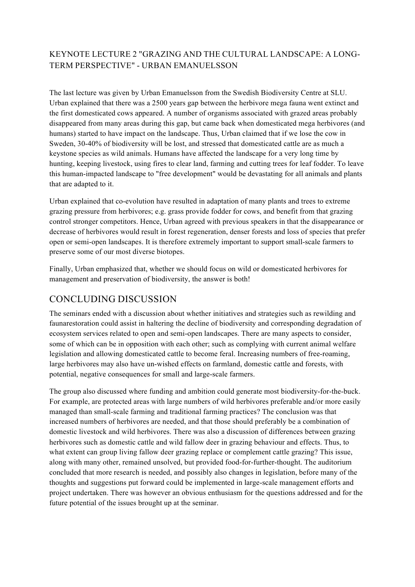#### KEYNOTE LECTURE 2 "GRAZING AND THE CULTURAL LANDSCAPE: A LONG-TERM PERSPECTIVE" - URBAN EMANUELSSON

The last lecture was given by Urban Emanuelsson from the Swedish Biodiversity Centre at SLU. Urban explained that there was a 2500 years gap between the herbivore mega fauna went extinct and the first domesticated cows appeared. A number of organisms associated with grazed areas probably disappeared from many areas during this gap, but came back when domesticated mega herbivores (and humans) started to have impact on the landscape. Thus, Urban claimed that if we lose the cow in Sweden, 30-40% of biodiversity will be lost, and stressed that domesticated cattle are as much a keystone species as wild animals. Humans have affected the landscape for a very long time by hunting, keeping livestock, using fires to clear land, farming and cutting trees for leaf fodder. To leave this human-impacted landscape to "free development" would be devastating for all animals and plants that are adapted to it.

Urban explained that co-evolution have resulted in adaptation of many plants and trees to extreme grazing pressure from herbivores; e.g. grass provide fodder for cows, and benefit from that grazing control stronger competitors. Hence, Urban agreed with previous speakers in that the disappearance or decrease of herbivores would result in forest regeneration, denser forests and loss of species that prefer open or semi-open landscapes. It is therefore extremely important to support small-scale farmers to preserve some of our most diverse biotopes.

Finally, Urban emphasized that, whether we should focus on wild or domesticated herbivores for management and preservation of biodiversity, the answer is both!

#### CONCLUDING DISCUSSION

The seminars ended with a discussion about whether initiatives and strategies such as rewilding and faunarestoration could assist in haltering the decline of biodiversity and corresponding degradation of ecosystem services related to open and semi-open landscapes. There are many aspects to consider, some of which can be in opposition with each other; such as complying with current animal welfare legislation and allowing domesticated cattle to become feral. Increasing numbers of free-roaming, large herbivores may also have un-wished effects on farmland, domestic cattle and forests, with potential, negative consequences for small and large-scale farmers.

The group also discussed where funding and ambition could generate most biodiversity-for-the-buck. For example, are protected areas with large numbers of wild herbivores preferable and/or more easily managed than small-scale farming and traditional farming practices? The conclusion was that increased numbers of herbivores are needed, and that those should preferably be a combination of domestic livestock and wild herbivores. There was also a discussion of differences between grazing herbivores such as domestic cattle and wild fallow deer in grazing behaviour and effects. Thus, to what extent can group living fallow deer grazing replace or complement cattle grazing? This issue, along with many other, remained unsolved, but provided food-for-further-thought. The auditorium concluded that more research is needed, and possibly also changes in legislation, before many of the thoughts and suggestions put forward could be implemented in large-scale management efforts and project undertaken. There was however an obvious enthusiasm for the questions addressed and for the future potential of the issues brought up at the seminar.